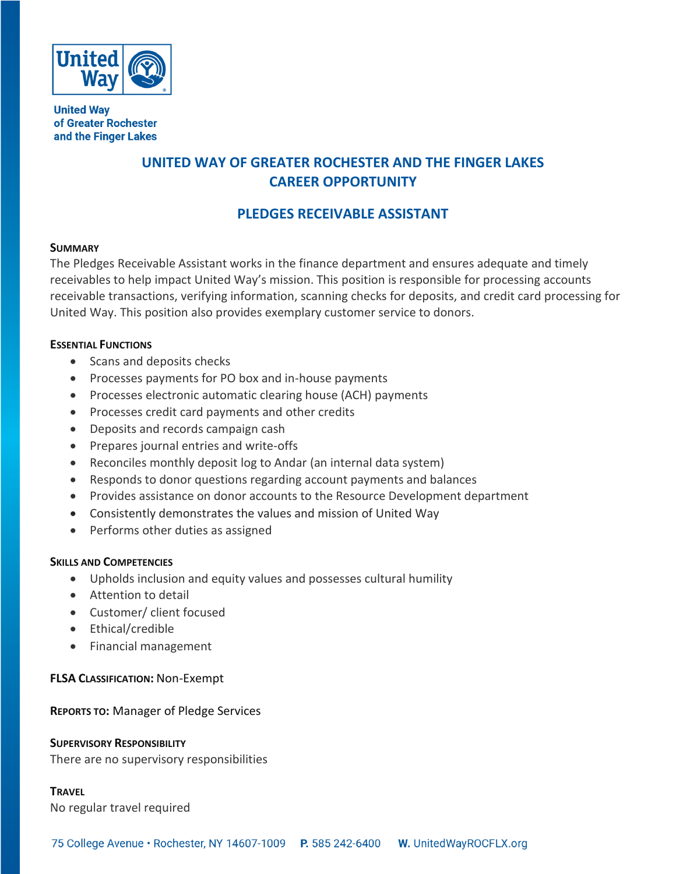

**United Way** of Greater Rochester and the Finger Lakes

# **UNITED WAY OF GREATER ROCHESTER AND THE FINGER LAKES CAREER OPPORTUNITY**

# **PLEDGES RECEIVABLE ASSISTANT**

### **SUMMARY**

The Pledges Receivable Assistant works in the finance department and ensures adequate and timely receivables to help impact United Way's mission. This position is responsible for processing accounts receivable transactions, verifying information, scanning checks for deposits, and credit card processing for United Way. This position also provides exemplary customer service to donors.

## **ESSENTIAL FUNCTIONS**

- Scans and deposits checks
- Processes payments for PO box and in-house payments
- Processes electronic automatic clearing house (ACH) payments
- Processes credit card payments and other credits
- Deposits and records campaign cash
- Prepares journal entries and write-offs
- Reconciles monthly deposit log to Andar (an internal data system)
- Responds to donor questions regarding account payments and balances
- Provides assistance on donor accounts to the Resource Development department
- Consistently demonstrates the values and mission of United Way
- Performs other duties as assigned

## **SKILLS AND COMPETENCIES**

- Upholds inclusion and equity values and possesses cultural humility
- Attention to detail
- Customer/ client focused
- Ethical/credible
- Financial management

## **FLSA CLASSIFICATION:** Non-Exempt

## **REPORTS TO:** Manager of Pledge Services

## **SUPERVISORY RESPONSIBILITY**

There are no supervisory responsibilities

### **TRAVEL**

No regular travel required